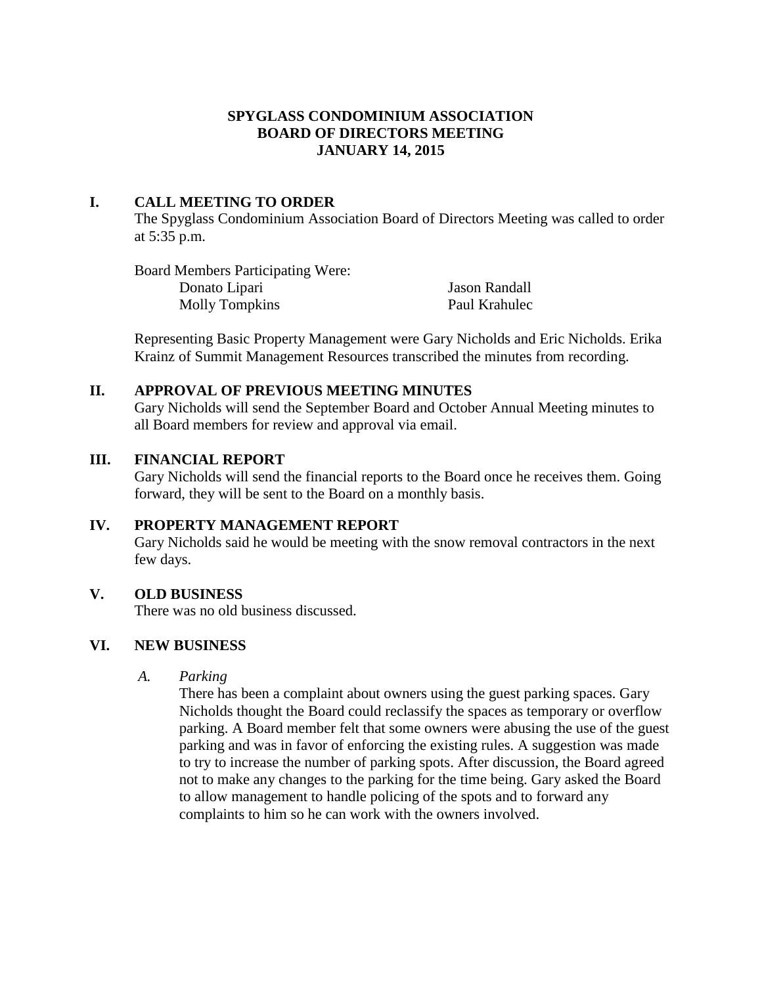## **SPYGLASS CONDOMINIUM ASSOCIATION BOARD OF DIRECTORS MEETING JANUARY 14, 2015**

### **I. CALL MEETING TO ORDER**

The Spyglass Condominium Association Board of Directors Meeting was called to order at 5:35 p.m.

Board Members Participating Were: Donato Lipari Jason Randall Molly Tompkins Paul Krahulec

Representing Basic Property Management were Gary Nicholds and Eric Nicholds. Erika Krainz of Summit Management Resources transcribed the minutes from recording.

### **II. APPROVAL OF PREVIOUS MEETING MINUTES**

Gary Nicholds will send the September Board and October Annual Meeting minutes to all Board members for review and approval via email.

### **III. FINANCIAL REPORT**

Gary Nicholds will send the financial reports to the Board once he receives them. Going forward, they will be sent to the Board on a monthly basis.

## **IV. PROPERTY MANAGEMENT REPORT**

Gary Nicholds said he would be meeting with the snow removal contractors in the next few days.

## **V. OLD BUSINESS**

There was no old business discussed.

## **VI. NEW BUSINESS**

*A. Parking*

There has been a complaint about owners using the guest parking spaces. Gary Nicholds thought the Board could reclassify the spaces as temporary or overflow parking. A Board member felt that some owners were abusing the use of the guest parking and was in favor of enforcing the existing rules. A suggestion was made to try to increase the number of parking spots. After discussion, the Board agreed not to make any changes to the parking for the time being. Gary asked the Board to allow management to handle policing of the spots and to forward any complaints to him so he can work with the owners involved.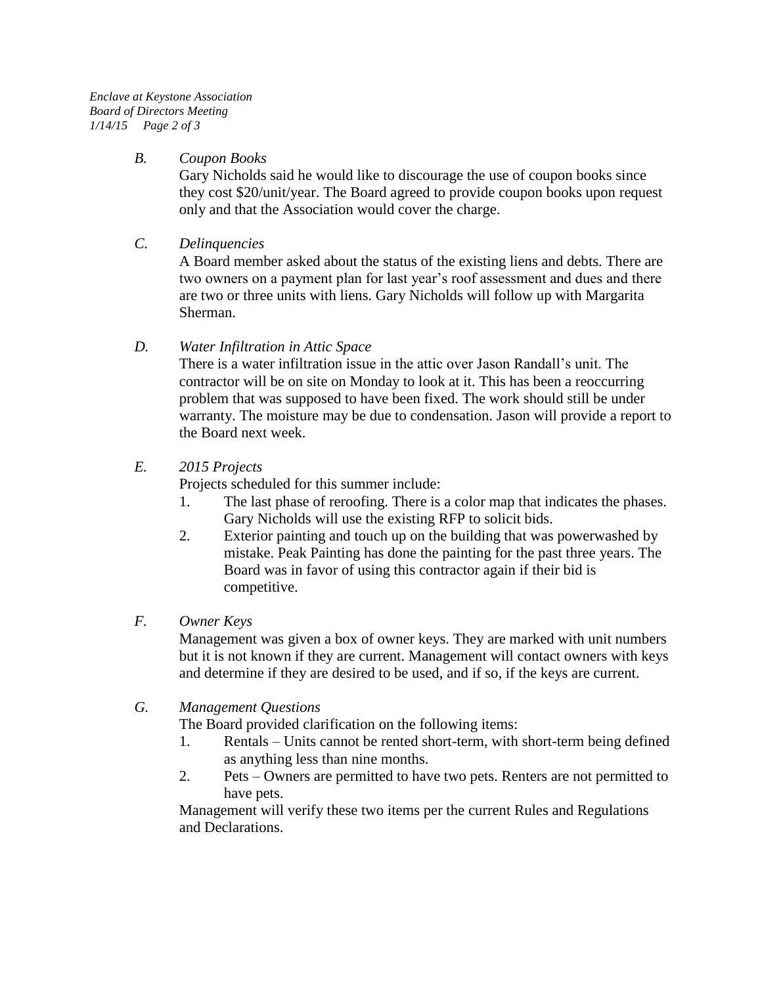*Enclave at Keystone Association Board of Directors Meeting 1/14/15 Page 2 of 3*

### *B. Coupon Books*

Gary Nicholds said he would like to discourage the use of coupon books since they cost \$20/unit/year. The Board agreed to provide coupon books upon request only and that the Association would cover the charge.

### *C. Delinquencies*

A Board member asked about the status of the existing liens and debts. There are two owners on a payment plan for last year's roof assessment and dues and there are two or three units with liens. Gary Nicholds will follow up with Margarita Sherman.

## *D. Water Infiltration in Attic Space*

There is a water infiltration issue in the attic over Jason Randall's unit. The contractor will be on site on Monday to look at it. This has been a reoccurring problem that was supposed to have been fixed. The work should still be under warranty. The moisture may be due to condensation. Jason will provide a report to the Board next week.

### *E. 2015 Projects*

Projects scheduled for this summer include:

- 1. The last phase of reroofing. There is a color map that indicates the phases. Gary Nicholds will use the existing RFP to solicit bids.
- 2. Exterior painting and touch up on the building that was powerwashed by mistake. Peak Painting has done the painting for the past three years. The Board was in favor of using this contractor again if their bid is competitive.

### *F. Owner Keys*

Management was given a box of owner keys. They are marked with unit numbers but it is not known if they are current. Management will contact owners with keys and determine if they are desired to be used, and if so, if the keys are current.

## *G. Management Questions*

The Board provided clarification on the following items:

- 1. Rentals Units cannot be rented short-term, with short-term being defined as anything less than nine months.
- 2. Pets Owners are permitted to have two pets. Renters are not permitted to have pets.

Management will verify these two items per the current Rules and Regulations and Declarations.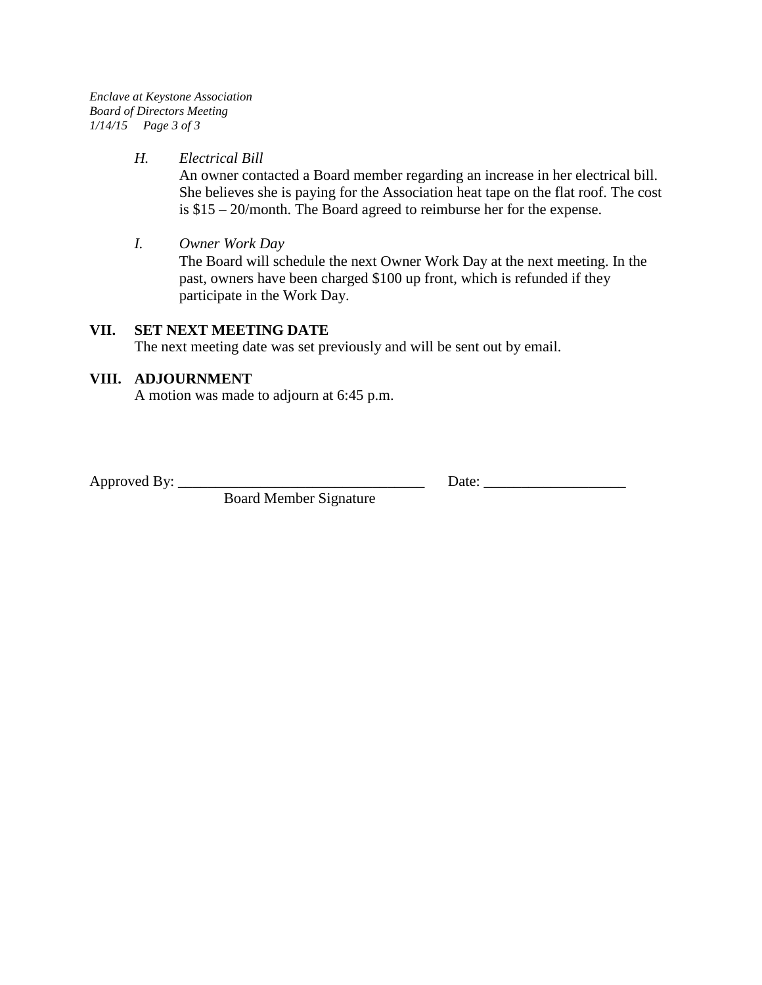*Enclave at Keystone Association Board of Directors Meeting 1/14/15 Page 3 of 3*

#### *H. Electrical Bill*

An owner contacted a Board member regarding an increase in her electrical bill. She believes she is paying for the Association heat tape on the flat roof. The cost is \$15 – 20/month. The Board agreed to reimburse her for the expense.

#### *I. Owner Work Day*

The Board will schedule the next Owner Work Day at the next meeting. In the past, owners have been charged \$100 up front, which is refunded if they participate in the Work Day.

### **VII. SET NEXT MEETING DATE**

The next meeting date was set previously and will be sent out by email.

### **VIII. ADJOURNMENT**

A motion was made to adjourn at 6:45 p.m.

Approved By: \_\_\_\_\_\_\_\_\_\_\_\_\_\_\_\_\_\_\_\_\_\_\_\_\_\_\_\_\_\_\_\_\_ Date: \_\_\_\_\_\_\_\_\_\_\_\_\_\_\_\_\_\_\_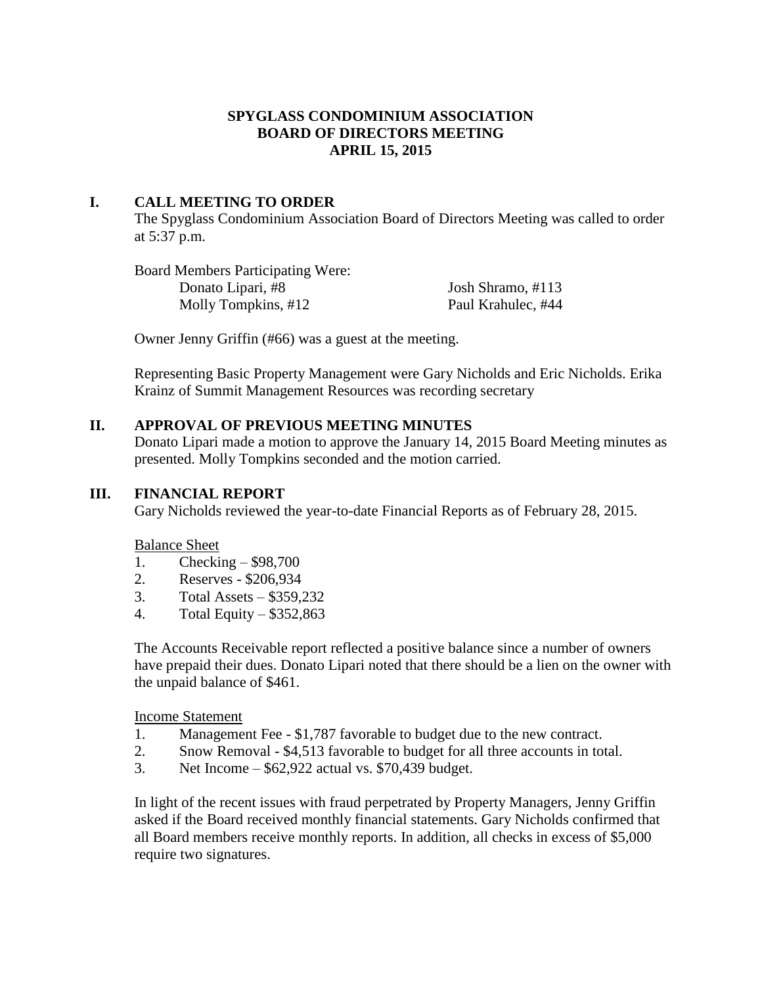## **SPYGLASS CONDOMINIUM ASSOCIATION BOARD OF DIRECTORS MEETING APRIL 15, 2015**

## **I. CALL MEETING TO ORDER**

The Spyglass Condominium Association Board of Directors Meeting was called to order at 5:37 p.m.

Board Members Participating Were: Donato Lipari, #8 Josh Shramo, #113 Molly Tompkins, #12 Paul Krahulec, #44

Owner Jenny Griffin (#66) was a guest at the meeting.

Representing Basic Property Management were Gary Nicholds and Eric Nicholds. Erika Krainz of Summit Management Resources was recording secretary

### **II. APPROVAL OF PREVIOUS MEETING MINUTES**

Donato Lipari made a motion to approve the January 14, 2015 Board Meeting minutes as presented. Molly Tompkins seconded and the motion carried.

### **III. FINANCIAL REPORT**

Gary Nicholds reviewed the year-to-date Financial Reports as of February 28, 2015.

Balance Sheet

- 1. Checking \$98,700
- 2. Reserves \$206,934
- 3. Total Assets \$359,232
- 4. Total Equity \$352,863

The Accounts Receivable report reflected a positive balance since a number of owners have prepaid their dues. Donato Lipari noted that there should be a lien on the owner with the unpaid balance of \$461.

Income Statement

- 1. Management Fee \$1,787 favorable to budget due to the new contract.
- 2. Snow Removal \$4,513 favorable to budget for all three accounts in total.
- 3. Net Income \$62,922 actual vs. \$70,439 budget.

In light of the recent issues with fraud perpetrated by Property Managers, Jenny Griffin asked if the Board received monthly financial statements. Gary Nicholds confirmed that all Board members receive monthly reports. In addition, all checks in excess of \$5,000 require two signatures.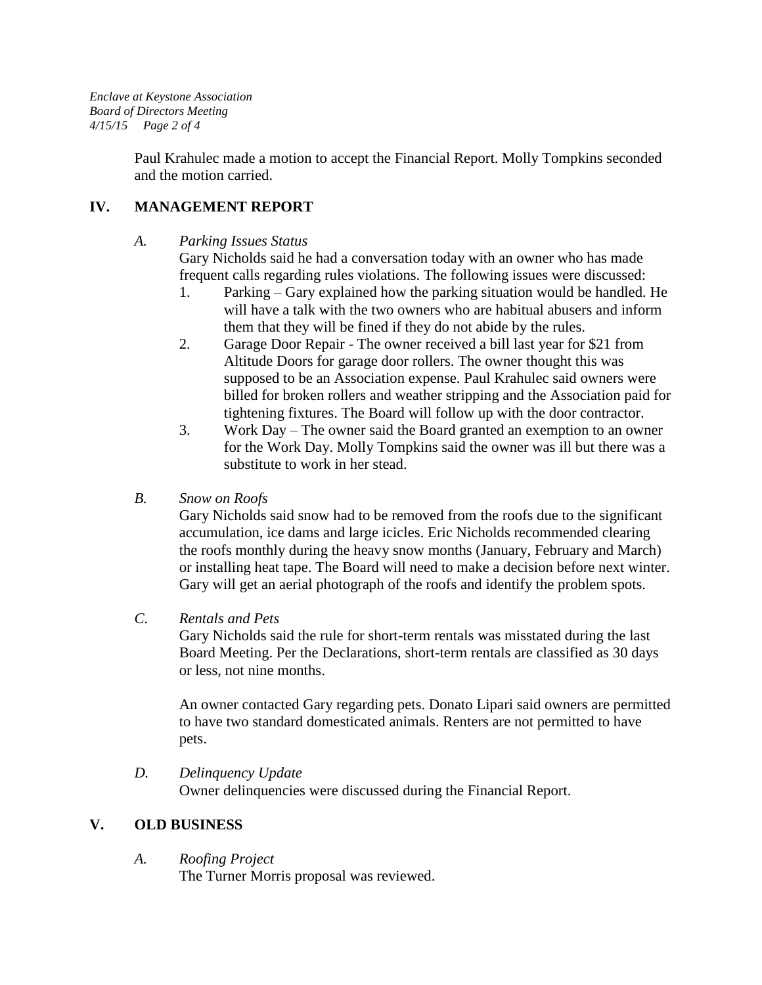*Enclave at Keystone Association Board of Directors Meeting 4/15/15 Page 2 of 4*

> Paul Krahulec made a motion to accept the Financial Report. Molly Tompkins seconded and the motion carried.

## **IV. MANAGEMENT REPORT**

### *A. Parking Issues Status*

Gary Nicholds said he had a conversation today with an owner who has made frequent calls regarding rules violations. The following issues were discussed:

- 1. Parking Gary explained how the parking situation would be handled. He will have a talk with the two owners who are habitual abusers and inform them that they will be fined if they do not abide by the rules.
- 2. Garage Door Repair The owner received a bill last year for \$21 from Altitude Doors for garage door rollers. The owner thought this was supposed to be an Association expense. Paul Krahulec said owners were billed for broken rollers and weather stripping and the Association paid for tightening fixtures. The Board will follow up with the door contractor.
- 3. Work Day The owner said the Board granted an exemption to an owner for the Work Day. Molly Tompkins said the owner was ill but there was a substitute to work in her stead.

## *B. Snow on Roofs*

Gary Nicholds said snow had to be removed from the roofs due to the significant accumulation, ice dams and large icicles. Eric Nicholds recommended clearing the roofs monthly during the heavy snow months (January, February and March) or installing heat tape. The Board will need to make a decision before next winter. Gary will get an aerial photograph of the roofs and identify the problem spots.

## *C. Rentals and Pets*

Gary Nicholds said the rule for short-term rentals was misstated during the last Board Meeting. Per the Declarations, short-term rentals are classified as 30 days or less, not nine months.

An owner contacted Gary regarding pets. Donato Lipari said owners are permitted to have two standard domesticated animals. Renters are not permitted to have pets.

*D. Delinquency Update* Owner delinquencies were discussed during the Financial Report.

## **V. OLD BUSINESS**

*A. Roofing Project*

The Turner Morris proposal was reviewed.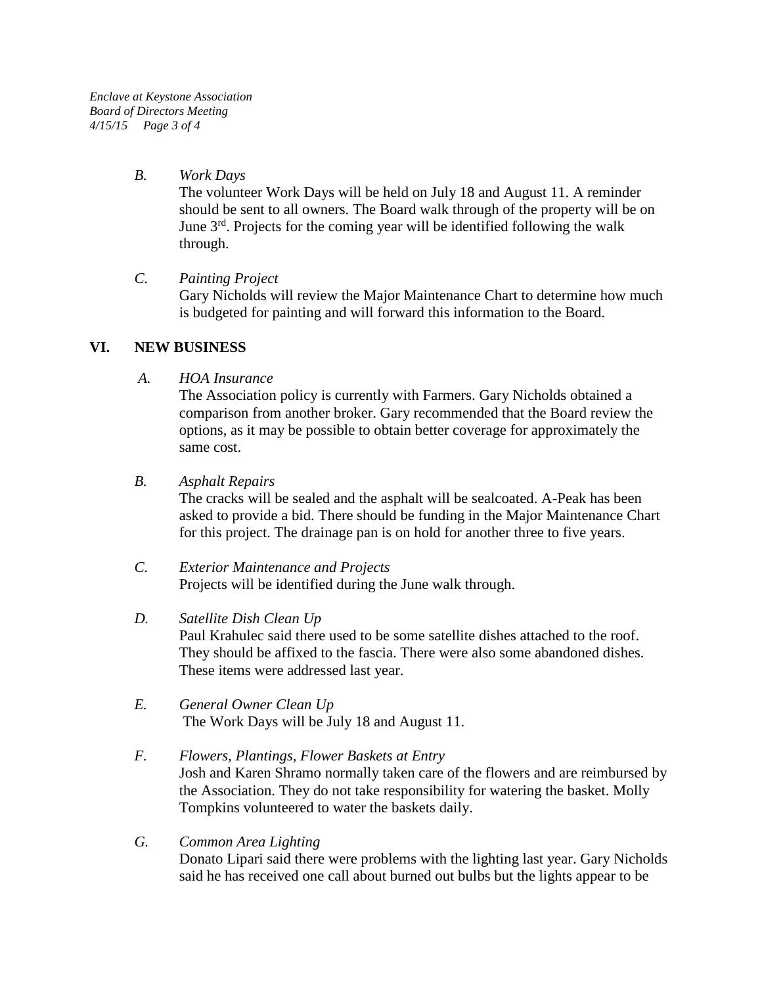*Enclave at Keystone Association Board of Directors Meeting 4/15/15 Page 3 of 4*

#### *B. Work Days*

The volunteer Work Days will be held on July 18 and August 11. A reminder should be sent to all owners. The Board walk through of the property will be on June  $3<sup>rd</sup>$ . Projects for the coming year will be identified following the walk through.

### *C. Painting Project*

Gary Nicholds will review the Major Maintenance Chart to determine how much is budgeted for painting and will forward this information to the Board.

### **VI. NEW BUSINESS**

*A. HOA Insurance*

The Association policy is currently with Farmers. Gary Nicholds obtained a comparison from another broker. Gary recommended that the Board review the options, as it may be possible to obtain better coverage for approximately the same cost.

### *B. Asphalt Repairs*

The cracks will be sealed and the asphalt will be sealcoated. A-Peak has been asked to provide a bid. There should be funding in the Major Maintenance Chart for this project. The drainage pan is on hold for another three to five years.

- *C. Exterior Maintenance and Projects* Projects will be identified during the June walk through.
- *D. Satellite Dish Clean Up*

Paul Krahulec said there used to be some satellite dishes attached to the roof. They should be affixed to the fascia. There were also some abandoned dishes. These items were addressed last year.

*E. General Owner Clean Up* The Work Days will be July 18 and August 11.

### *F. Flowers, Plantings, Flower Baskets at Entry* Josh and Karen Shramo normally taken care of the flowers and are reimbursed by the Association. They do not take responsibility for watering the basket. Molly Tompkins volunteered to water the baskets daily.

*G. Common Area Lighting* Donato Lipari said there were problems with the lighting last year. Gary Nicholds said he has received one call about burned out bulbs but the lights appear to be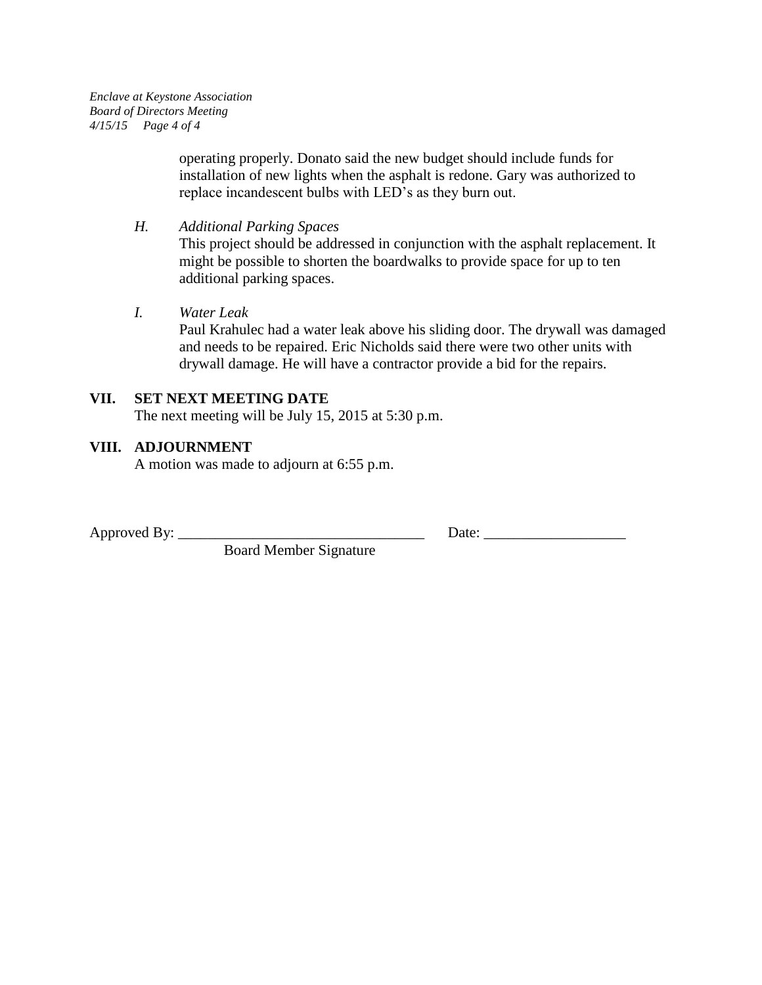*Enclave at Keystone Association Board of Directors Meeting 4/15/15 Page 4 of 4*

> operating properly. Donato said the new budget should include funds for installation of new lights when the asphalt is redone. Gary was authorized to replace incandescent bulbs with LED's as they burn out.

*H. Additional Parking Spaces*

This project should be addressed in conjunction with the asphalt replacement. It might be possible to shorten the boardwalks to provide space for up to ten additional parking spaces.

*I. Water Leak*

Paul Krahulec had a water leak above his sliding door. The drywall was damaged and needs to be repaired. Eric Nicholds said there were two other units with drywall damage. He will have a contractor provide a bid for the repairs.

#### **VII. SET NEXT MEETING DATE** The next meeting will be July 15, 2015 at 5:30 p.m.

### **VIII. ADJOURNMENT**

A motion was made to adjourn at 6:55 p.m.

Board Member Signature

Approved By: \_\_\_\_\_\_\_\_\_\_\_\_\_\_\_\_\_\_\_\_\_\_\_\_\_\_\_\_\_\_\_\_\_ Date: \_\_\_\_\_\_\_\_\_\_\_\_\_\_\_\_\_\_\_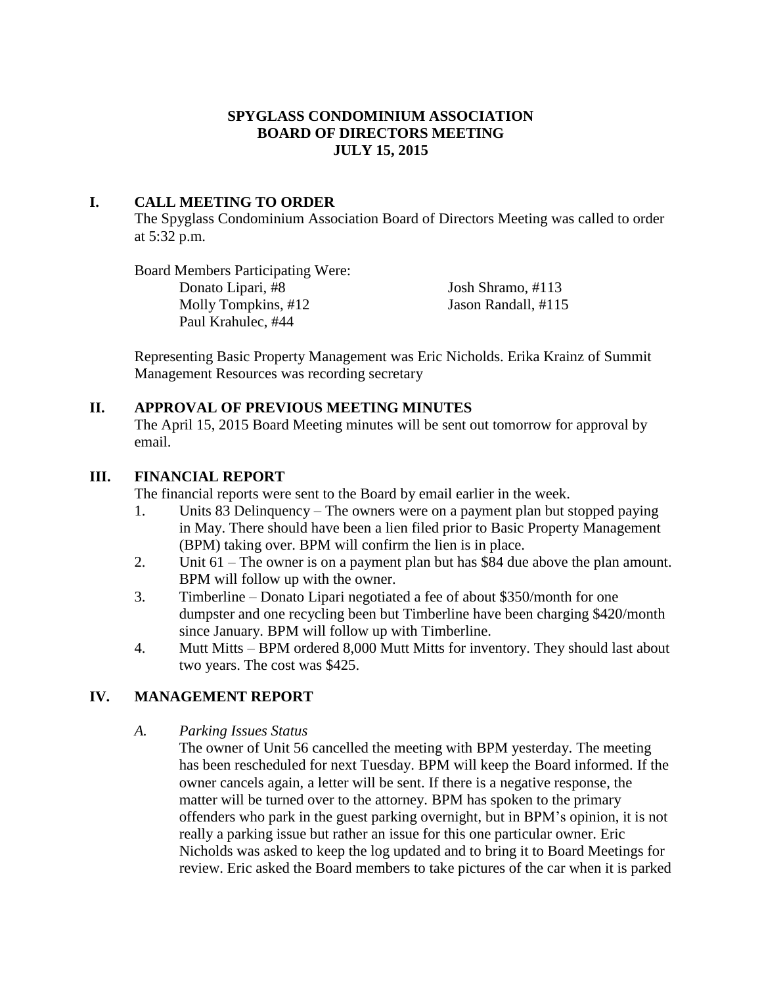## **SPYGLASS CONDOMINIUM ASSOCIATION BOARD OF DIRECTORS MEETING JULY 15, 2015**

## **I. CALL MEETING TO ORDER**

The Spyglass Condominium Association Board of Directors Meeting was called to order at 5:32 p.m.

Board Members Participating Were: Donato Lipari, #8 Josh Shramo, #113 Molly Tompkins, #12 Jason Randall, #115 Paul Krahulec, #44

Representing Basic Property Management was Eric Nicholds. Erika Krainz of Summit Management Resources was recording secretary

### **II. APPROVAL OF PREVIOUS MEETING MINUTES**

The April 15, 2015 Board Meeting minutes will be sent out tomorrow for approval by email.

### **III. FINANCIAL REPORT**

The financial reports were sent to the Board by email earlier in the week.

- 1. Units 83 Delinquency The owners were on a payment plan but stopped paying in May. There should have been a lien filed prior to Basic Property Management (BPM) taking over. BPM will confirm the lien is in place.
- 2. Unit 61 The owner is on a payment plan but has \$84 due above the plan amount. BPM will follow up with the owner.
- 3. Timberline Donato Lipari negotiated a fee of about \$350/month for one dumpster and one recycling been but Timberline have been charging \$420/month since January. BPM will follow up with Timberline.
- 4. Mutt Mitts BPM ordered 8,000 Mutt Mitts for inventory. They should last about two years. The cost was \$425.

## **IV. MANAGEMENT REPORT**

### *A. Parking Issues Status*

The owner of Unit 56 cancelled the meeting with BPM yesterday. The meeting has been rescheduled for next Tuesday. BPM will keep the Board informed. If the owner cancels again, a letter will be sent. If there is a negative response, the matter will be turned over to the attorney. BPM has spoken to the primary offenders who park in the guest parking overnight, but in BPM's opinion, it is not really a parking issue but rather an issue for this one particular owner. Eric Nicholds was asked to keep the log updated and to bring it to Board Meetings for review. Eric asked the Board members to take pictures of the car when it is parked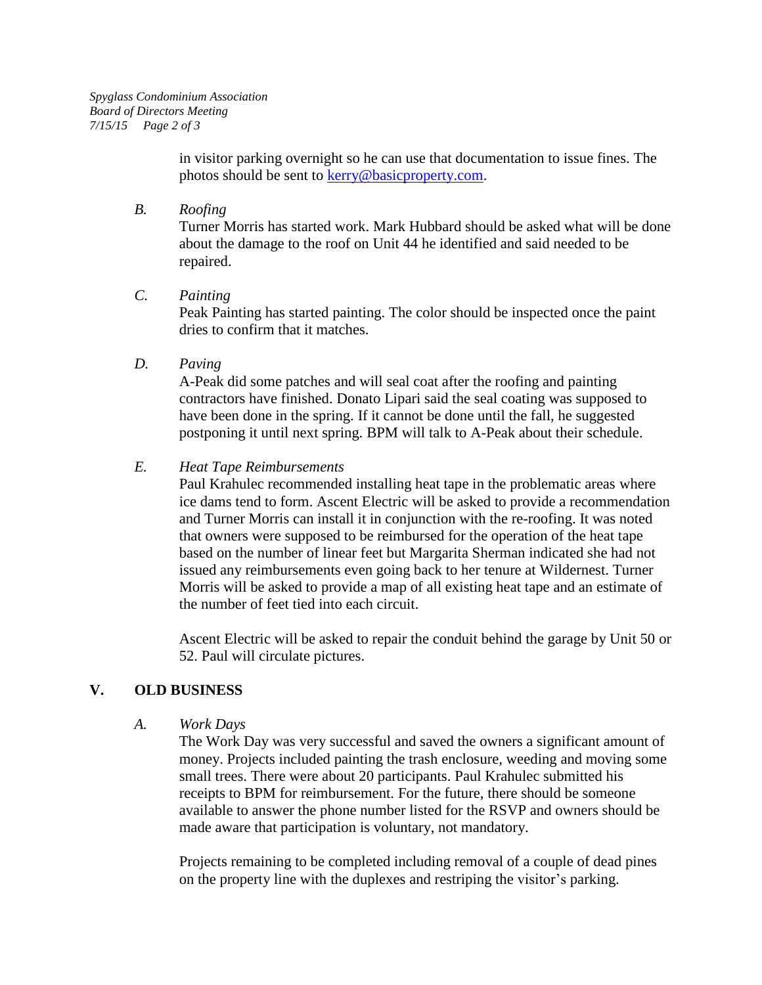in visitor parking overnight so he can use that documentation to issue fines. The photos should be sent to [kerry@basicproperty.com.](mailto:kerry@basicproperty.com)

*B. Roofing*

Turner Morris has started work. Mark Hubbard should be asked what will be done about the damage to the roof on Unit 44 he identified and said needed to be repaired.

*C. Painting*

Peak Painting has started painting. The color should be inspected once the paint dries to confirm that it matches.

*D. Paving*

A-Peak did some patches and will seal coat after the roofing and painting contractors have finished. Donato Lipari said the seal coating was supposed to have been done in the spring. If it cannot be done until the fall, he suggested postponing it until next spring. BPM will talk to A-Peak about their schedule.

## *E. Heat Tape Reimbursements*

Paul Krahulec recommended installing heat tape in the problematic areas where ice dams tend to form. Ascent Electric will be asked to provide a recommendation and Turner Morris can install it in conjunction with the re-roofing. It was noted that owners were supposed to be reimbursed for the operation of the heat tape based on the number of linear feet but Margarita Sherman indicated she had not issued any reimbursements even going back to her tenure at Wildernest. Turner Morris will be asked to provide a map of all existing heat tape and an estimate of the number of feet tied into each circuit.

Ascent Electric will be asked to repair the conduit behind the garage by Unit 50 or 52. Paul will circulate pictures.

# **V. OLD BUSINESS**

*A. Work Days*

The Work Day was very successful and saved the owners a significant amount of money. Projects included painting the trash enclosure, weeding and moving some small trees. There were about 20 participants. Paul Krahulec submitted his receipts to BPM for reimbursement. For the future, there should be someone available to answer the phone number listed for the RSVP and owners should be made aware that participation is voluntary, not mandatory.

Projects remaining to be completed including removal of a couple of dead pines on the property line with the duplexes and restriping the visitor's parking.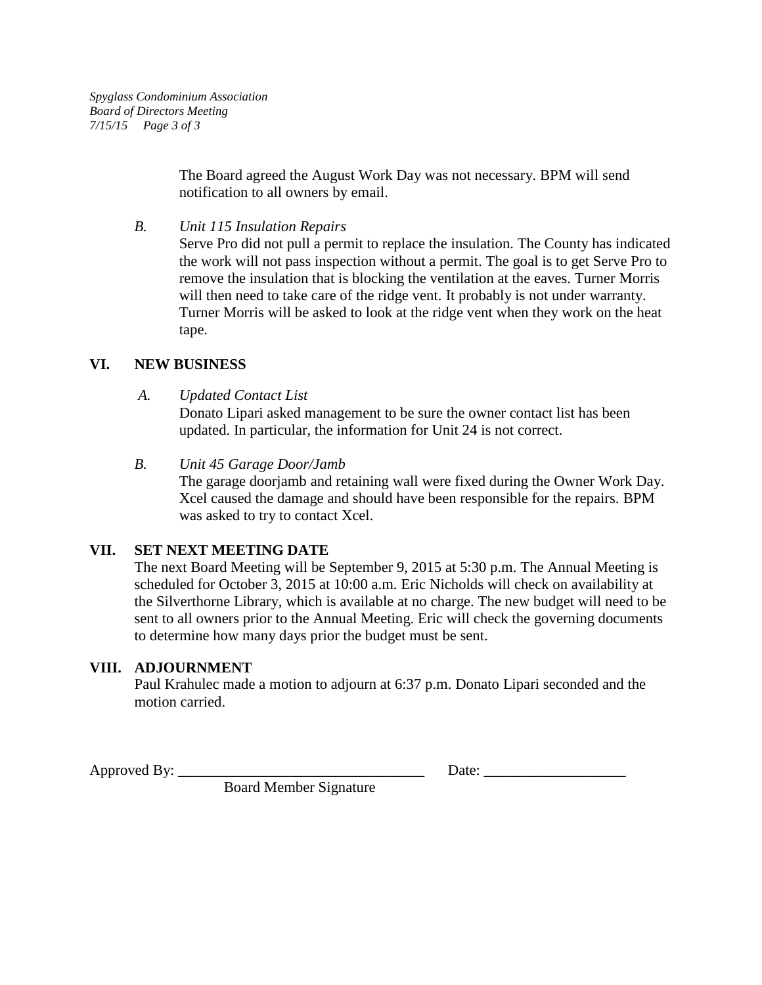The Board agreed the August Work Day was not necessary. BPM will send notification to all owners by email.

*B. Unit 115 Insulation Repairs*

Serve Pro did not pull a permit to replace the insulation. The County has indicated the work will not pass inspection without a permit. The goal is to get Serve Pro to remove the insulation that is blocking the ventilation at the eaves. Turner Morris will then need to take care of the ridge vent. It probably is not under warranty. Turner Morris will be asked to look at the ridge vent when they work on the heat tape.

### **VI. NEW BUSINESS**

*A. Updated Contact List*

Donato Lipari asked management to be sure the owner contact list has been updated. In particular, the information for Unit 24 is not correct.

*B. Unit 45 Garage Door/Jamb* The garage doorjamb and retaining wall were fixed during the Owner Work Day. Xcel caused the damage and should have been responsible for the repairs. BPM was asked to try to contact Xcel.

## **VII. SET NEXT MEETING DATE**

The next Board Meeting will be September 9, 2015 at 5:30 p.m. The Annual Meeting is scheduled for October 3, 2015 at 10:00 a.m. Eric Nicholds will check on availability at the Silverthorne Library, which is available at no charge. The new budget will need to be sent to all owners prior to the Annual Meeting. Eric will check the governing documents to determine how many days prior the budget must be sent.

## **VIII. ADJOURNMENT**

Paul Krahulec made a motion to adjourn at 6:37 p.m. Donato Lipari seconded and the motion carried.

Approved By: \_\_\_\_\_\_\_\_\_\_\_\_\_\_\_\_\_\_\_\_\_\_\_\_\_\_\_\_\_\_\_\_\_ Date: \_\_\_\_\_\_\_\_\_\_\_\_\_\_\_\_\_\_\_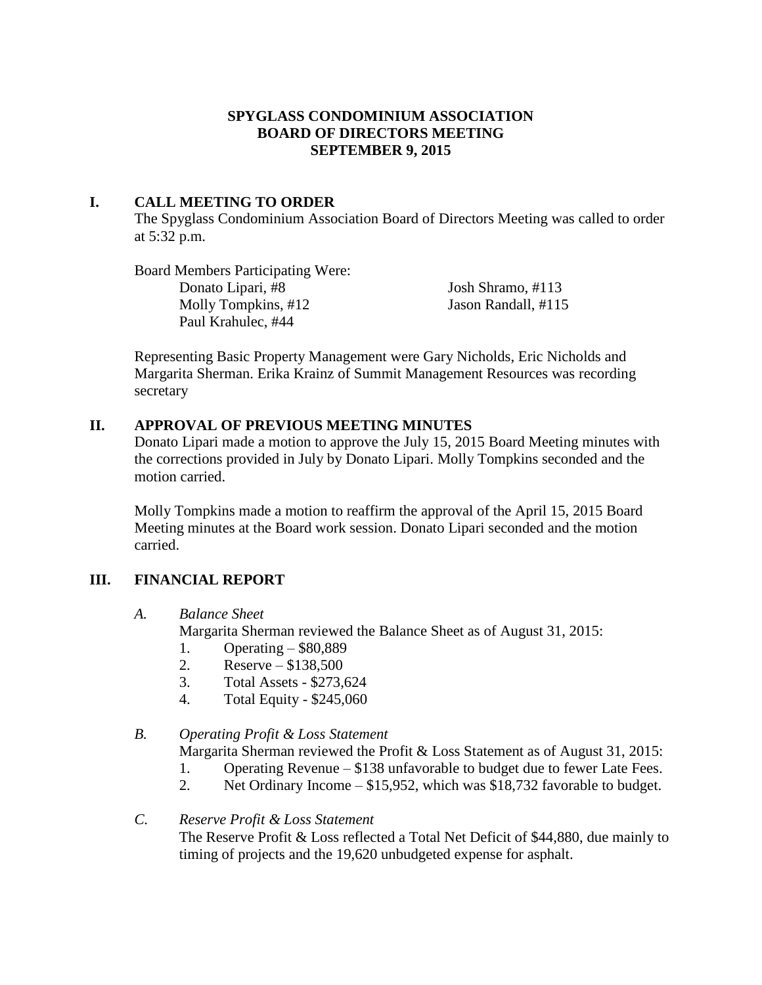### **SPYGLASS CONDOMINIUM ASSOCIATION BOARD OF DIRECTORS MEETING SEPTEMBER 9, 2015**

## **I. CALL MEETING TO ORDER**

The Spyglass Condominium Association Board of Directors Meeting was called to order at 5:32 p.m.

Board Members Participating Were: Donato Lipari, #8 Josh Shramo, #113 Molly Tompkins, #12 Jason Randall, #115 Paul Krahulec, #44

Representing Basic Property Management were Gary Nicholds, Eric Nicholds and Margarita Sherman. Erika Krainz of Summit Management Resources was recording secretary

### **II. APPROVAL OF PREVIOUS MEETING MINUTES**

Donato Lipari made a motion to approve the July 15, 2015 Board Meeting minutes with the corrections provided in July by Donato Lipari. Molly Tompkins seconded and the motion carried.

Molly Tompkins made a motion to reaffirm the approval of the April 15, 2015 Board Meeting minutes at the Board work session. Donato Lipari seconded and the motion carried.

## **III. FINANCIAL REPORT**

*A. Balance Sheet*

Margarita Sherman reviewed the Balance Sheet as of August 31, 2015:

- 1. Operating \$80,889
- 2. Reserve \$138,500
- 3. Total Assets \$273,624
- 4. Total Equity \$245,060

### *B. Operating Profit & Loss Statement*

Margarita Sherman reviewed the Profit & Loss Statement as of August 31, 2015:

- 1. Operating Revenue \$138 unfavorable to budget due to fewer Late Fees.
- 2. Net Ordinary Income \$15,952, which was \$18,732 favorable to budget.
- *C. Reserve Profit & Loss Statement* The Reserve Profit & Loss reflected a Total Net Deficit of \$44,880, due mainly to timing of projects and the 19,620 unbudgeted expense for asphalt.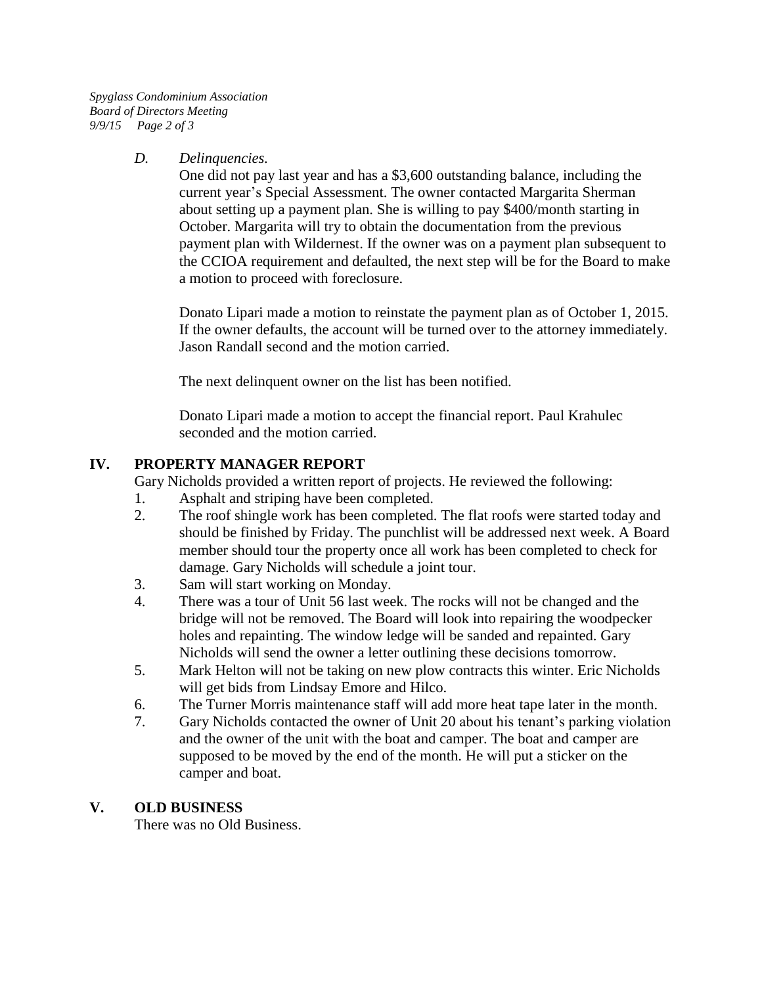*Spyglass Condominium Association Board of Directors Meeting 9/9/15 Page 2 of 3*

### *D. Delinquencies.*

One did not pay last year and has a \$3,600 outstanding balance, including the current year's Special Assessment. The owner contacted Margarita Sherman about setting up a payment plan. She is willing to pay \$400/month starting in October. Margarita will try to obtain the documentation from the previous payment plan with Wildernest. If the owner was on a payment plan subsequent to the CCIOA requirement and defaulted, the next step will be for the Board to make a motion to proceed with foreclosure.

Donato Lipari made a motion to reinstate the payment plan as of October 1, 2015. If the owner defaults, the account will be turned over to the attorney immediately. Jason Randall second and the motion carried.

The next delinquent owner on the list has been notified.

Donato Lipari made a motion to accept the financial report. Paul Krahulec seconded and the motion carried.

## **IV. PROPERTY MANAGER REPORT**

Gary Nicholds provided a written report of projects. He reviewed the following:

- 1. Asphalt and striping have been completed.
- 2. The roof shingle work has been completed. The flat roofs were started today and should be finished by Friday. The punchlist will be addressed next week. A Board member should tour the property once all work has been completed to check for damage. Gary Nicholds will schedule a joint tour.
- 3. Sam will start working on Monday.
- 4. There was a tour of Unit 56 last week. The rocks will not be changed and the bridge will not be removed. The Board will look into repairing the woodpecker holes and repainting. The window ledge will be sanded and repainted. Gary Nicholds will send the owner a letter outlining these decisions tomorrow.
- 5. Mark Helton will not be taking on new plow contracts this winter. Eric Nicholds will get bids from Lindsay Emore and Hilco.
- 6. The Turner Morris maintenance staff will add more heat tape later in the month.
- 7. Gary Nicholds contacted the owner of Unit 20 about his tenant's parking violation and the owner of the unit with the boat and camper. The boat and camper are supposed to be moved by the end of the month. He will put a sticker on the camper and boat.

## **V. OLD BUSINESS**

There was no Old Business.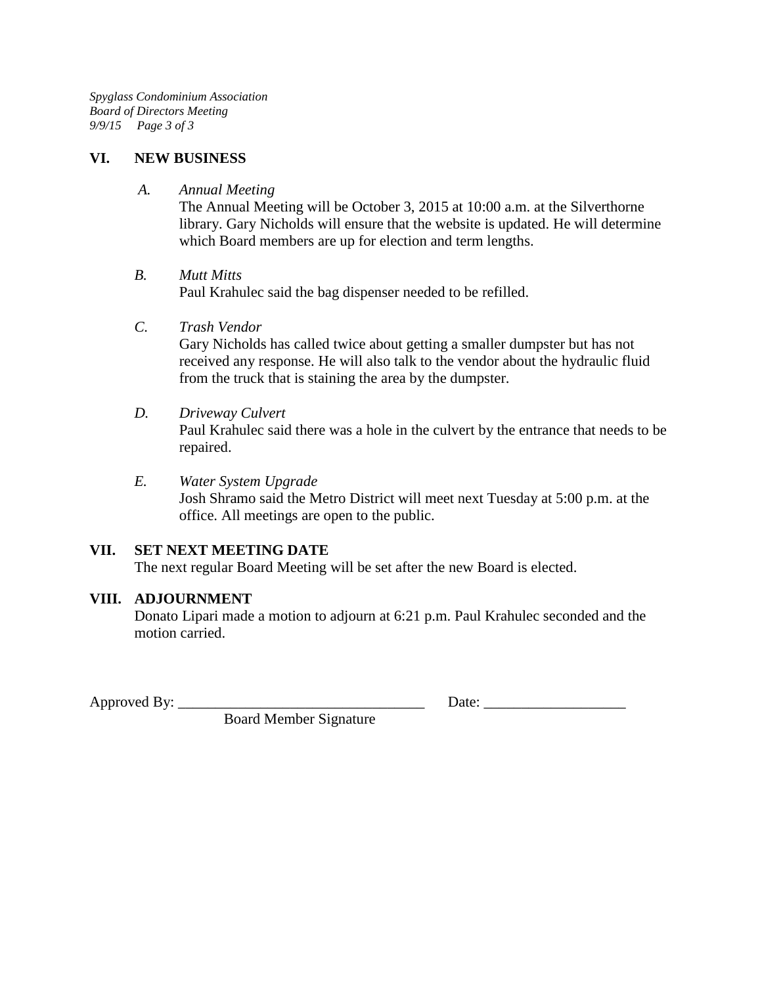*Spyglass Condominium Association Board of Directors Meeting 9/9/15 Page 3 of 3*

#### **VI. NEW BUSINESS**

*A. Annual Meeting*

The Annual Meeting will be October 3, 2015 at 10:00 a.m. at the Silverthorne library. Gary Nicholds will ensure that the website is updated. He will determine which Board members are up for election and term lengths.

### *B. Mutt Mitts*

Paul Krahulec said the bag dispenser needed to be refilled.

*C. Trash Vendor*

Gary Nicholds has called twice about getting a smaller dumpster but has not received any response. He will also talk to the vendor about the hydraulic fluid from the truck that is staining the area by the dumpster.

### *D. Driveway Culvert*

Paul Krahulec said there was a hole in the culvert by the entrance that needs to be repaired.

*E. Water System Upgrade* Josh Shramo said the Metro District will meet next Tuesday at 5:00 p.m. at the office. All meetings are open to the public.

## **VII. SET NEXT MEETING DATE**

The next regular Board Meeting will be set after the new Board is elected.

### **VIII. ADJOURNMENT**

Donato Lipari made a motion to adjourn at 6:21 p.m. Paul Krahulec seconded and the motion carried.

Approved By: \_\_\_\_\_\_\_\_\_\_\_\_\_\_\_\_\_\_\_\_\_\_\_\_\_\_\_\_\_\_\_\_\_ Date: \_\_\_\_\_\_\_\_\_\_\_\_\_\_\_\_\_\_\_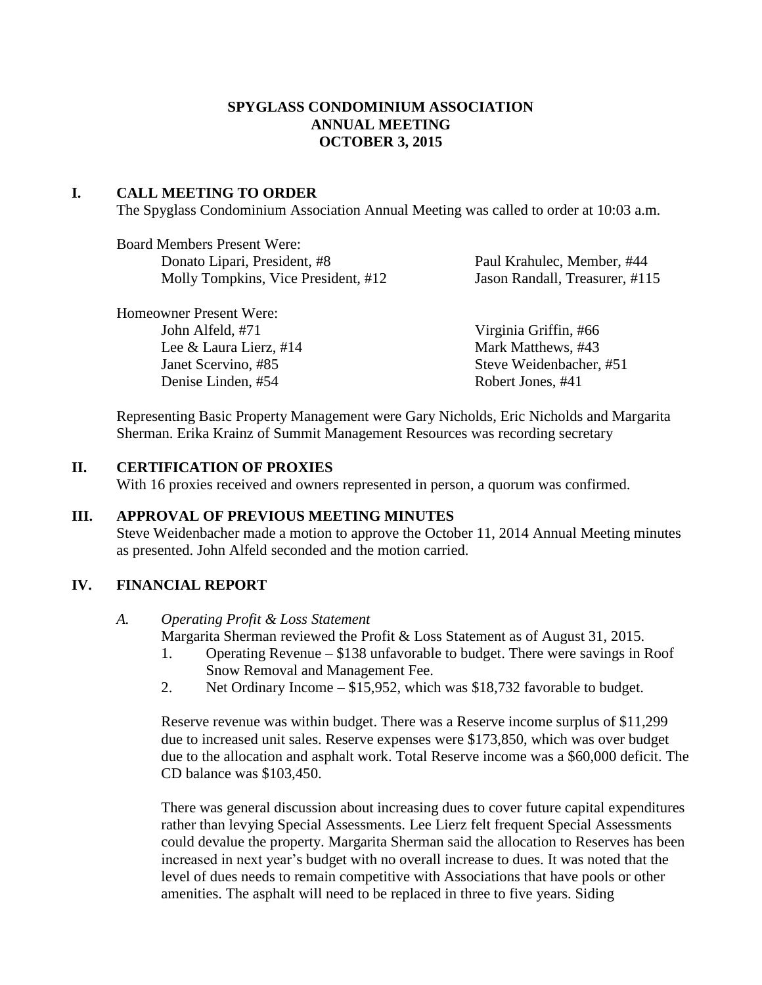### **SPYGLASS CONDOMINIUM ASSOCIATION ANNUAL MEETING OCTOBER 3, 2015**

### **I. CALL MEETING TO ORDER**

The Spyglass Condominium Association Annual Meeting was called to order at 10:03 a.m.

| <b>Board Members Present Were:</b>  |
|-------------------------------------|
| Donato Lipari, President, #8        |
| Molly Tompkins, Vice President, #12 |

Paul Krahulec, Member, #44 Jason Randall, Treasurer, #115

| Homeowner Present Were:   |                         |
|---------------------------|-------------------------|
| John Alfeld, #71          | Virginia Griffin, #66   |
| Lee & Laura Lierz, $\#14$ | Mark Matthews, #43      |
| Janet Scervino, #85       | Steve Weidenbacher, #51 |
| Denise Linden, #54        | Robert Jones, #41       |

Representing Basic Property Management were Gary Nicholds, Eric Nicholds and Margarita Sherman. Erika Krainz of Summit Management Resources was recording secretary

### **II. CERTIFICATION OF PROXIES**

With 16 proxies received and owners represented in person, a quorum was confirmed.

### **III. APPROVAL OF PREVIOUS MEETING MINUTES**

Steve Weidenbacher made a motion to approve the October 11, 2014 Annual Meeting minutes as presented. John Alfeld seconded and the motion carried.

## **IV. FINANCIAL REPORT**

#### *A. Operating Profit & Loss Statement*

Margarita Sherman reviewed the Profit & Loss Statement as of August 31, 2015.

- 1. Operating Revenue \$138 unfavorable to budget. There were savings in Roof Snow Removal and Management Fee.
- 2. Net Ordinary Income \$15,952, which was \$18,732 favorable to budget.

Reserve revenue was within budget. There was a Reserve income surplus of \$11,299 due to increased unit sales. Reserve expenses were \$173,850, which was over budget due to the allocation and asphalt work. Total Reserve income was a \$60,000 deficit. The CD balance was \$103,450.

There was general discussion about increasing dues to cover future capital expenditures rather than levying Special Assessments. Lee Lierz felt frequent Special Assessments could devalue the property. Margarita Sherman said the allocation to Reserves has been increased in next year's budget with no overall increase to dues. It was noted that the level of dues needs to remain competitive with Associations that have pools or other amenities. The asphalt will need to be replaced in three to five years. Siding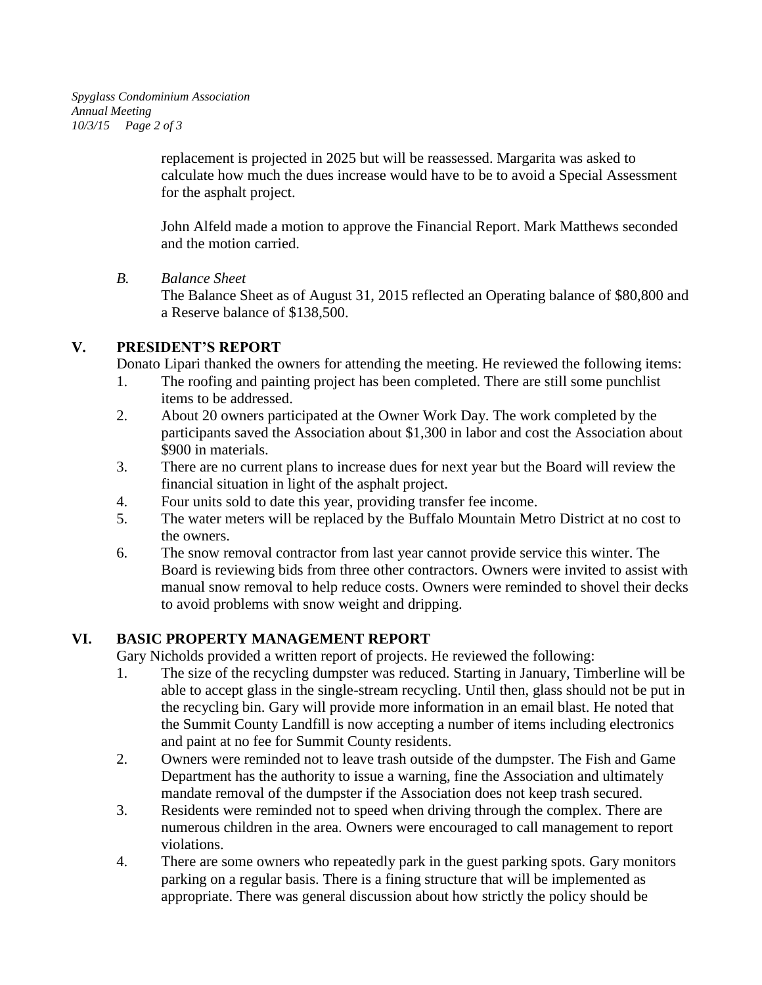replacement is projected in 2025 but will be reassessed. Margarita was asked to calculate how much the dues increase would have to be to avoid a Special Assessment for the asphalt project.

John Alfeld made a motion to approve the Financial Report. Mark Matthews seconded and the motion carried.

*B. Balance Sheet*

The Balance Sheet as of August 31, 2015 reflected an Operating balance of \$80,800 and a Reserve balance of \$138,500.

# **V. PRESIDENT'S REPORT**

Donato Lipari thanked the owners for attending the meeting. He reviewed the following items:

- 1. The roofing and painting project has been completed. There are still some punchlist items to be addressed.
- 2. About 20 owners participated at the Owner Work Day. The work completed by the participants saved the Association about \$1,300 in labor and cost the Association about \$900 in materials.
- 3. There are no current plans to increase dues for next year but the Board will review the financial situation in light of the asphalt project.
- 4. Four units sold to date this year, providing transfer fee income.
- 5. The water meters will be replaced by the Buffalo Mountain Metro District at no cost to the owners.
- 6. The snow removal contractor from last year cannot provide service this winter. The Board is reviewing bids from three other contractors. Owners were invited to assist with manual snow removal to help reduce costs. Owners were reminded to shovel their decks to avoid problems with snow weight and dripping.

# **VI. BASIC PROPERTY MANAGEMENT REPORT**

Gary Nicholds provided a written report of projects. He reviewed the following:

- 1. The size of the recycling dumpster was reduced. Starting in January, Timberline will be able to accept glass in the single-stream recycling. Until then, glass should not be put in the recycling bin. Gary will provide more information in an email blast. He noted that the Summit County Landfill is now accepting a number of items including electronics and paint at no fee for Summit County residents.
- 2. Owners were reminded not to leave trash outside of the dumpster. The Fish and Game Department has the authority to issue a warning, fine the Association and ultimately mandate removal of the dumpster if the Association does not keep trash secured.
- 3. Residents were reminded not to speed when driving through the complex. There are numerous children in the area. Owners were encouraged to call management to report violations.
- 4. There are some owners who repeatedly park in the guest parking spots. Gary monitors parking on a regular basis. There is a fining structure that will be implemented as appropriate. There was general discussion about how strictly the policy should be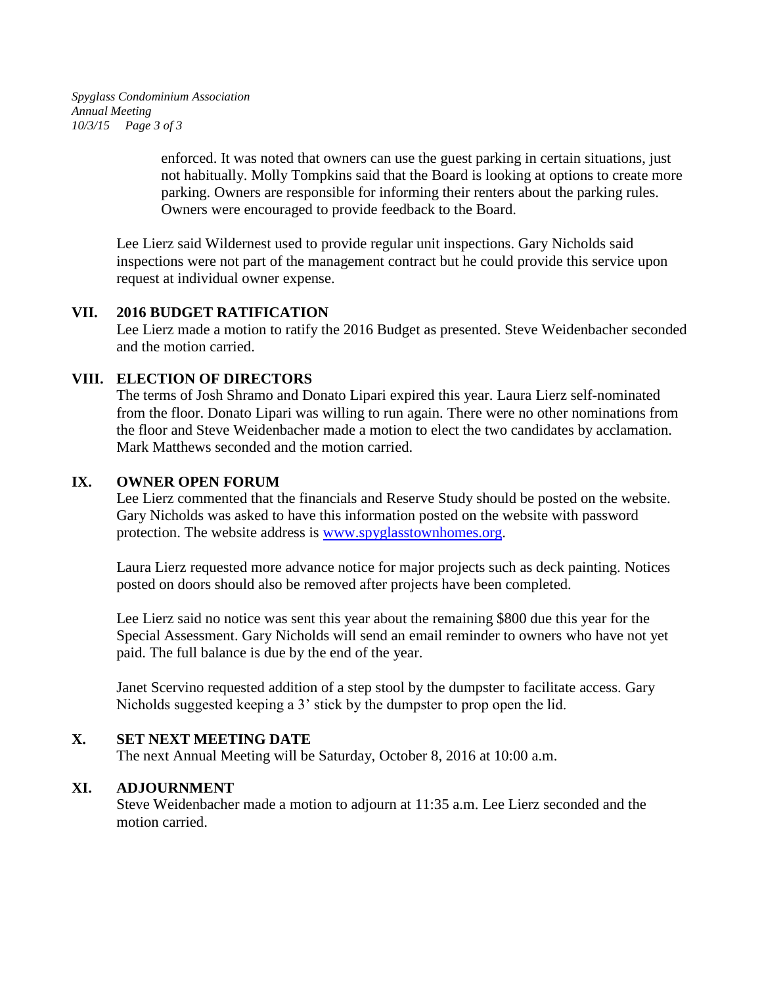*Spyglass Condominium Association Annual Meeting 10/3/15 Page 3 of 3*

> enforced. It was noted that owners can use the guest parking in certain situations, just not habitually. Molly Tompkins said that the Board is looking at options to create more parking. Owners are responsible for informing their renters about the parking rules. Owners were encouraged to provide feedback to the Board.

Lee Lierz said Wildernest used to provide regular unit inspections. Gary Nicholds said inspections were not part of the management contract but he could provide this service upon request at individual owner expense.

### **VII. 2016 BUDGET RATIFICATION**

Lee Lierz made a motion to ratify the 2016 Budget as presented. Steve Weidenbacher seconded and the motion carried.

### **VIII. ELECTION OF DIRECTORS**

The terms of Josh Shramo and Donato Lipari expired this year. Laura Lierz self-nominated from the floor. Donato Lipari was willing to run again. There were no other nominations from the floor and Steve Weidenbacher made a motion to elect the two candidates by acclamation. Mark Matthews seconded and the motion carried.

### **IX. OWNER OPEN FORUM**

Lee Lierz commented that the financials and Reserve Study should be posted on the website. Gary Nicholds was asked to have this information posted on the website with password protection. The website address is [www.spyglasstownhomes.org.](http://www.spyglasstownhomes.org/)

Laura Lierz requested more advance notice for major projects such as deck painting. Notices posted on doors should also be removed after projects have been completed.

Lee Lierz said no notice was sent this year about the remaining \$800 due this year for the Special Assessment. Gary Nicholds will send an email reminder to owners who have not yet paid. The full balance is due by the end of the year.

Janet Scervino requested addition of a step stool by the dumpster to facilitate access. Gary Nicholds suggested keeping a 3' stick by the dumpster to prop open the lid.

## **X. SET NEXT MEETING DATE**

The next Annual Meeting will be Saturday, October 8, 2016 at 10:00 a.m.

## **XI. ADJOURNMENT**

Steve Weidenbacher made a motion to adjourn at 11:35 a.m. Lee Lierz seconded and the motion carried.